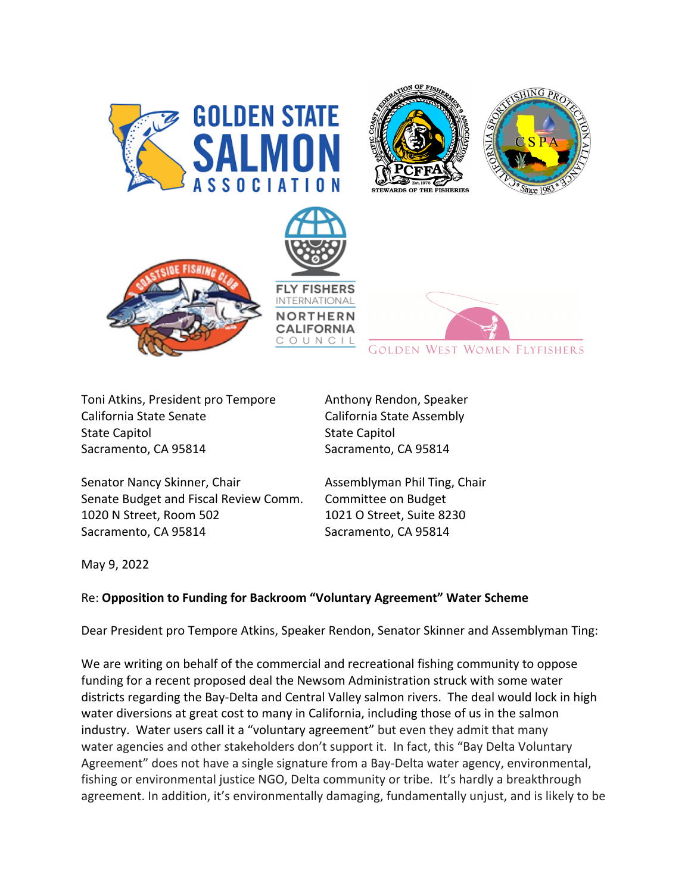

Toni Atkins, President pro Tempore Anthony Rendon, Speaker California State Senate California State Assembly State Capitol **State Capitol** Sacramento, CA 95814 Sacramento, CA 95814

Senator Nancy Skinner, Chair **Assemblyman Phil Ting, Chair** Assemblyman Phil Ting, Chair Senate Budget and Fiscal Review Comm. Committee on Budget 1020 N Street, Room 502 1021 O Street, Suite 8230 Sacramento, CA 95814 Sacramento, CA 95814

May 9, 2022

## Re: **Opposition to Funding for Backroom "Voluntary Agreement" Water Scheme**

Dear President pro Tempore Atkins, Speaker Rendon, Senator Skinner and Assemblyman Ting:

We are writing on behalf of the commercial and recreational fishing community to oppose funding for a recent proposed deal the Newsom Administration struck with some water districts regarding the Bay-Delta and Central Valley salmon rivers. The deal would lock in high water diversions at great cost to many in California, including those of us in the salmon industry. Water users call it a "voluntary agreement" but even they admit that many water agencies and other stakeholders don't support it. In fact, this "Bay Delta Voluntary Agreement" does not have a single signature from a Bay-Delta water agency, environmental, fishing or environmental justice NGO, Delta community or tribe. It's hardly a breakthrough agreement. In addition, it's environmentally damaging, fundamentally unjust, and is likely to be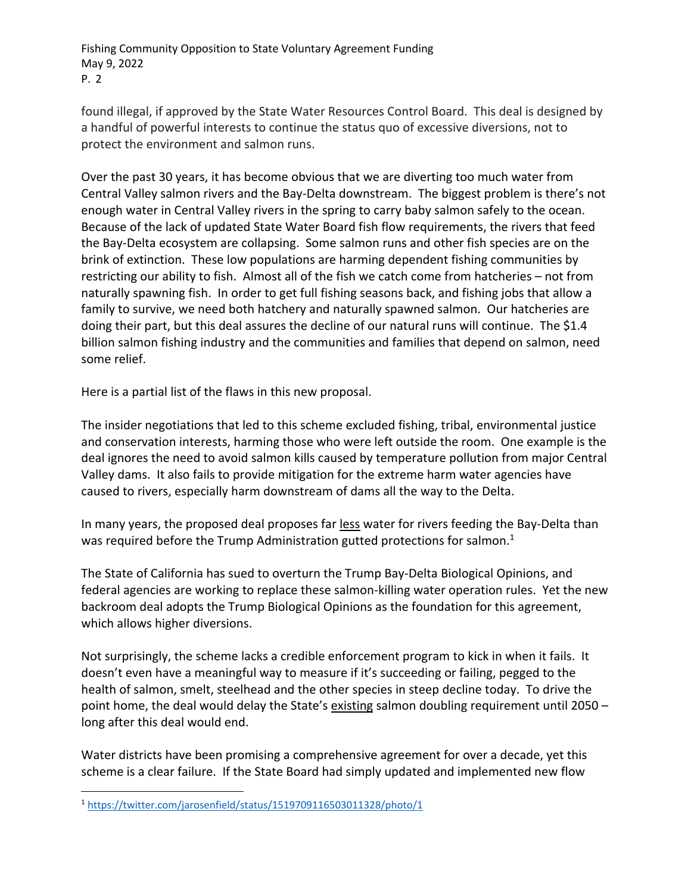Fishing Community Opposition to State Voluntary Agreement Funding May 9, 2022 P. 2

found illegal, if approved by the State Water Resources Control Board. This deal is designed by a handful of powerful interests to continue the status quo of excessive diversions, not to protect the environment and salmon runs.

Over the past 30 years, it has become obvious that we are diverting too much water from Central Valley salmon rivers and the Bay-Delta downstream. The biggest problem is there's not enough water in Central Valley rivers in the spring to carry baby salmon safely to the ocean. Because of the lack of updated State Water Board fish flow requirements, the rivers that feed the Bay-Delta ecosystem are collapsing. Some salmon runs and other fish species are on the brink of extinction. These low populations are harming dependent fishing communities by restricting our ability to fish. Almost all of the fish we catch come from hatcheries – not from naturally spawning fish. In order to get full fishing seasons back, and fishing jobs that allow a family to survive, we need both hatchery and naturally spawned salmon. Our hatcheries are doing their part, but this deal assures the decline of our natural runs will continue. The \$1.4 billion salmon fishing industry and the communities and families that depend on salmon, need some relief.

Here is a partial list of the flaws in this new proposal.

The insider negotiations that led to this scheme excluded fishing, tribal, environmental justice and conservation interests, harming those who were left outside the room. One example is the deal ignores the need to avoid salmon kills caused by temperature pollution from major Central Valley dams. It also fails to provide mitigation for the extreme harm water agencies have caused to rivers, especially harm downstream of dams all the way to the Delta.

In many years, the proposed deal proposes far less water for rivers feeding the Bay-Delta than was required before the Trump Administration gutted protections for salmon.<sup>1</sup>

The State of California has sued to overturn the Trump Bay-Delta Biological Opinions, and federal agencies are working to replace these salmon-killing water operation rules. Yet the new backroom deal adopts the Trump Biological Opinions as the foundation for this agreement, which allows higher diversions.

Not surprisingly, the scheme lacks a credible enforcement program to kick in when it fails. It doesn't even have a meaningful way to measure if it's succeeding or failing, pegged to the health of salmon, smelt, steelhead and the other species in steep decline today. To drive the point home, the deal would delay the State's existing salmon doubling requirement until 2050 long after this deal would end.

Water districts have been promising a comprehensive agreement for over a decade, yet this scheme is a clear failure. If the State Board had simply updated and implemented new flow

<sup>1</sup> https://twitter.com/jarosenfield/status/1519709116503011328/photo/1